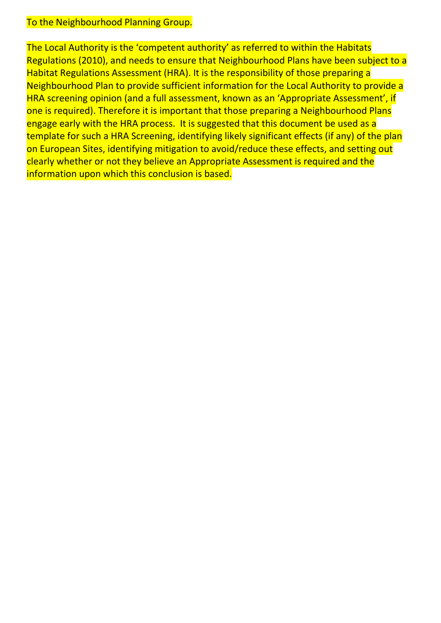#### To the Neighbourhood Planning Group.

The Local Authority is the 'competent authority' as referred to within the Habitats Regulations (2010), and needs to ensure that Neighbourhood Plans have been subject to a Habitat Regulations Assessment (HRA). It is the responsibility of those preparing a Neighbourhood Plan to provide sufficient information for the Local Authority to provide a HRA screening opinion (and a full assessment, known as an 'Appropriate Assessment', if one is required). Therefore it is important that those preparing a Neighbourhood Plans engage early with the HRA process. It is suggested that this document be used as a template for such a HRA Screening, identifying likely significant effects (if any) of the plan on European Sites, identifying mitigation to avoid/reduce these effects, and setting out clearly whether or not they believe an Appropriate Assessment is required and the information upon which this conclusion is based.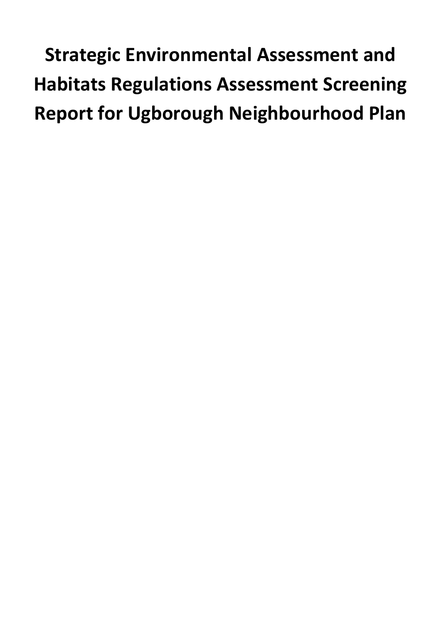**Strategic Environmental Assessment and Habitats Regulations Assessment Screening Report for Ugborough Neighbourhood Plan**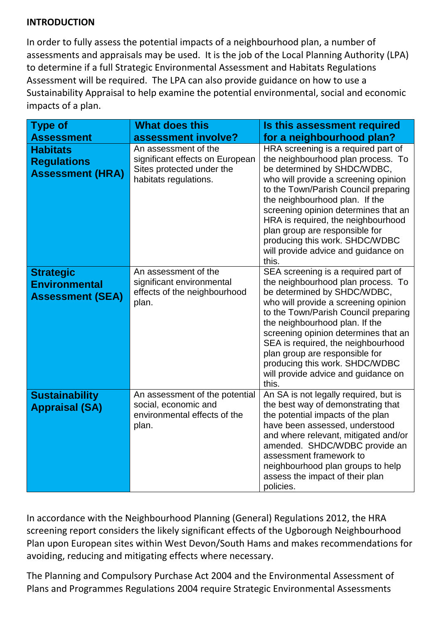#### **INTRODUCTION**

In order to fully assess the potential impacts of a neighbourhood plan, a number of assessments and appraisals may be used. It is the job of the Local Planning Authority (LPA) to determine if a full Strategic Environmental Assessment and Habitats Regulations Assessment will be required. The LPA can also provide guidance on how to use a Sustainability Appraisal to help examine the potential environmental, social and economic impacts of a plan.

| <b>Type of</b>                                                      | <b>What does this</b>                                                                                         | Is this assessment required                                                                                                                                                                                                                                                                                                                                                                                                  |
|---------------------------------------------------------------------|---------------------------------------------------------------------------------------------------------------|------------------------------------------------------------------------------------------------------------------------------------------------------------------------------------------------------------------------------------------------------------------------------------------------------------------------------------------------------------------------------------------------------------------------------|
| <b>Assessment</b>                                                   | assessment involve?                                                                                           | for a neighbourhood plan?                                                                                                                                                                                                                                                                                                                                                                                                    |
| <b>Habitats</b><br><b>Regulations</b><br><b>Assessment (HRA)</b>    | An assessment of the<br>significant effects on European<br>Sites protected under the<br>habitats regulations. | HRA screening is a required part of<br>the neighbourhood plan process. To<br>be determined by SHDC/WDBC,<br>who will provide a screening opinion<br>to the Town/Parish Council preparing<br>the neighbourhood plan. If the<br>screening opinion determines that an<br>HRA is required, the neighbourhood<br>plan group are responsible for<br>producing this work. SHDC/WDBC<br>will provide advice and guidance on<br>this. |
| <b>Strategic</b><br><b>Environmental</b><br><b>Assessment (SEA)</b> | An assessment of the<br>significant environmental<br>effects of the neighbourhood<br>plan.                    | SEA screening is a required part of<br>the neighbourhood plan process. To<br>be determined by SHDC/WDBC,<br>who will provide a screening opinion<br>to the Town/Parish Council preparing<br>the neighbourhood plan. If the<br>screening opinion determines that an<br>SEA is required, the neighbourhood<br>plan group are responsible for<br>producing this work. SHDC/WDBC<br>will provide advice and guidance on<br>this. |
| <b>Sustainability</b><br><b>Appraisal (SA)</b>                      | An assessment of the potential<br>social, economic and<br>environmental effects of the<br>plan.               | An SA is not legally required, but is<br>the best way of demonstrating that<br>the potential impacts of the plan<br>have been assessed, understood<br>and where relevant, mitigated and/or<br>amended. SHDC/WDBC provide an<br>assessment framework to<br>neighbourhood plan groups to help<br>assess the impact of their plan<br>policies.                                                                                  |

In accordance with the Neighbourhood Planning (General) Regulations 2012, the HRA screening report considers the likely significant effects of the Ugborough Neighbourhood Plan upon European sites within West Devon/South Hams and makes recommendations for avoiding, reducing and mitigating effects where necessary.

The Planning and Compulsory Purchase Act 2004 and the Environmental Assessment of Plans and Programmes Regulations 2004 require Strategic Environmental Assessments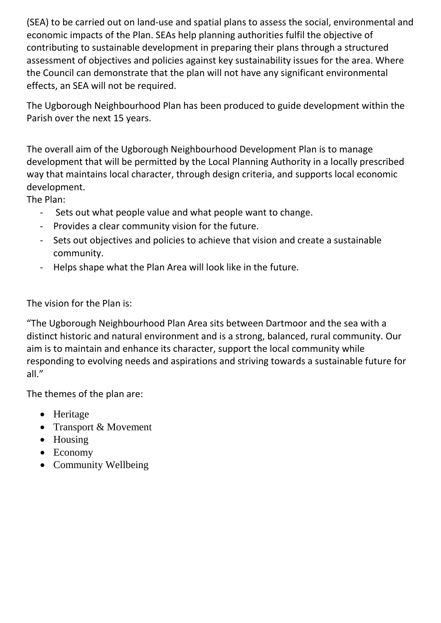(SEA) to be carried out on land-use and spatial plans to assess the social, environmental and economic impacts of the Plan. SEAs help planning authorities fulfil the objective of contributing to sustainable development in preparing their plans through a structured assessment of objectives and policies against key sustainability issues for the area. Where the Council can demonstrate that the plan will not have any significant environmental effects, an SEA will not be required.

The Ugborough Neighbourhood Plan has been produced to guide development within the Parish over the next 15 years.

The overall aim of the Ugborough Neighbourhood Development Plan is to manage development that will be permitted by the Local Planning Authority in a locally prescribed way that maintains local character, through design criteria, and supports local economic development.

The Plan:

- Sets out what people value and what people want to change.
- Provides a clear community vision for the future.
- Sets out objectives and policies to achieve that vision and create a sustainable community.
- Helps shape what the Plan Area will look like in the future.

The vision for the Plan is:

"The Ugborough Neighbourhood Plan Area sits between Dartmoor and the sea with a distinct historic and natural environment and is a strong, balanced, rural community. Our aim is to maintain and enhance its character, support the local community while responding to evolving needs and aspirations and striving towards a sustainable future for all."

The themes of the plan are:

- Heritage
- Transport & Movement
- Housing
- Economy
- Community Wellbeing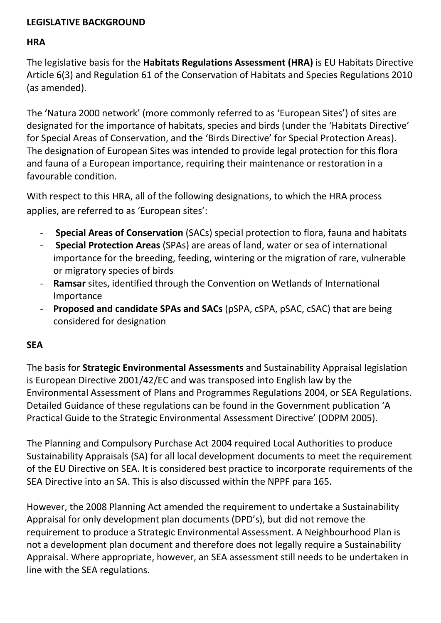#### **LEGISLATIVE BACKGROUND**

## **HRA**

The legislative basis for the **Habitats Regulations Assessment (HRA)** is EU Habitats Directive Article 6(3) and Regulation 61 of the Conservation of Habitats and Species Regulations 2010 (as amended).

The 'Natura 2000 network' (more commonly referred to as 'European Sites') of sites are designated for the importance of habitats, species and birds (under the 'Habitats Directive' for Special Areas of Conservation, and the 'Birds Directive' for Special Protection Areas). The designation of European Sites was intended to provide legal protection for this flora and fauna of a European importance, requiring their maintenance or restoration in a favourable condition.

With respect to this HRA, all of the following designations, to which the HRA process applies, are referred to as 'European sites':

- **Special Areas of Conservation** (SACs) special protection to flora, fauna and habitats
- **Special Protection Areas** (SPAs) are areas of land, water or sea of international importance for the breeding, feeding, wintering or the migration of rare, vulnerable or migratory species of birds
- **Ramsar** sites, identified through the Convention on Wetlands of International Importance
- **Proposed and candidate SPAs and SACs** (pSPA, cSPA, pSAC, cSAC) that are being considered for designation

# **SEA**

The basis for **Strategic Environmental Assessments** and Sustainability Appraisal legislation is European Directive 2001/42/EC and was transposed into English law by the Environmental Assessment of Plans and Programmes Regulations 2004, or SEA Regulations. Detailed Guidance of these regulations can be found in the Government publication 'A Practical Guide to the Strategic Environmental Assessment Directive' (ODPM 2005).

The Planning and Compulsory Purchase Act 2004 required Local Authorities to produce Sustainability Appraisals (SA) for all local development documents to meet the requirement of the EU Directive on SEA. It is considered best practice to incorporate requirements of the SEA Directive into an SA. This is also discussed within the NPPF para 165.

However, the 2008 Planning Act amended the requirement to undertake a Sustainability Appraisal for only development plan documents (DPD's), but did not remove the requirement to produce a Strategic Environmental Assessment. A Neighbourhood Plan is not a development plan document and therefore does not legally require a Sustainability Appraisal. Where appropriate, however, an SEA assessment still needs to be undertaken in line with the SEA regulations.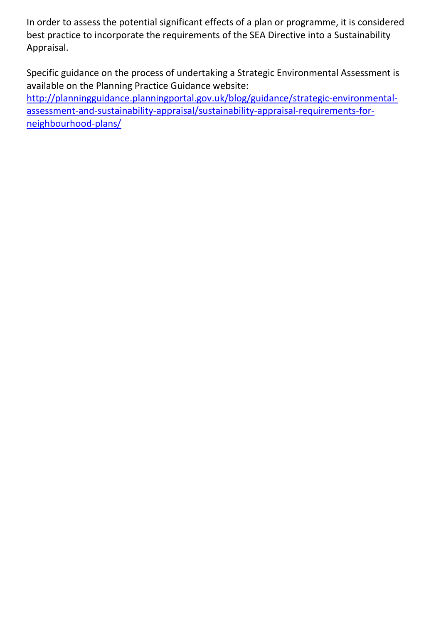In order to assess the potential significant effects of a plan or programme, it is considered best practice to incorporate the requirements of the SEA Directive into a Sustainability Appraisal.

Specific guidance on the process of undertaking a Strategic Environmental Assessment is available on the Planning Practice Guidance website:

[http://planningguidance.planningportal.gov.uk/blog/guidance/strategic-environmental](http://planningguidance.planningportal.gov.uk/blog/guidance/strategic-environmental-assessment-and-sustainability-appraisal/sustainability-appraisal-requirements-for-neighbourhood-plans/)[assessment-and-sustainability-appraisal/sustainability-appraisal-requirements-for](http://planningguidance.planningportal.gov.uk/blog/guidance/strategic-environmental-assessment-and-sustainability-appraisal/sustainability-appraisal-requirements-for-neighbourhood-plans/)[neighbourhood-plans/](http://planningguidance.planningportal.gov.uk/blog/guidance/strategic-environmental-assessment-and-sustainability-appraisal/sustainability-appraisal-requirements-for-neighbourhood-plans/)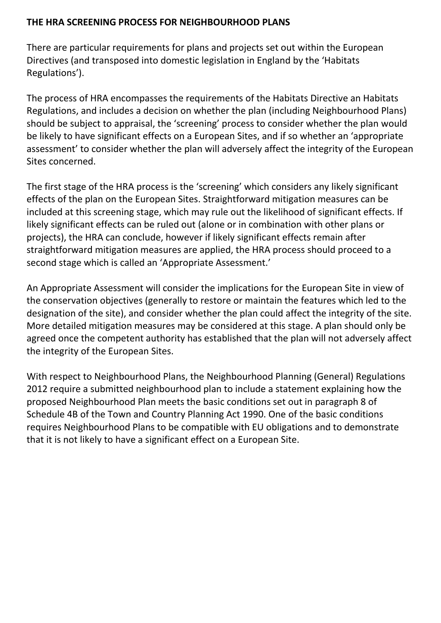### **THE HRA SCREENING PROCESS FOR NEIGHBOURHOOD PLANS**

There are particular requirements for plans and projects set out within the European Directives (and transposed into domestic legislation in England by the 'Habitats Regulations').

The process of HRA encompasses the requirements of the Habitats Directive an Habitats Regulations, and includes a decision on whether the plan (including Neighbourhood Plans) should be subject to appraisal, the 'screening' process to consider whether the plan would be likely to have significant effects on a European Sites, and if so whether an 'appropriate assessment' to consider whether the plan will adversely affect the integrity of the European Sites concerned.

The first stage of the HRA process is the 'screening' which considers any likely significant effects of the plan on the European Sites. Straightforward mitigation measures can be included at this screening stage, which may rule out the likelihood of significant effects. If likely significant effects can be ruled out (alone or in combination with other plans or projects), the HRA can conclude, however if likely significant effects remain after straightforward mitigation measures are applied, the HRA process should proceed to a second stage which is called an 'Appropriate Assessment.'

An Appropriate Assessment will consider the implications for the European Site in view of the conservation objectives (generally to restore or maintain the features which led to the designation of the site), and consider whether the plan could affect the integrity of the site. More detailed mitigation measures may be considered at this stage. A plan should only be agreed once the competent authority has established that the plan will not adversely affect the integrity of the European Sites.

With respect to Neighbourhood Plans, the Neighbourhood Planning (General) Regulations 2012 require a submitted neighbourhood plan to include a statement explaining how the proposed Neighbourhood Plan meets the basic conditions set out in paragraph 8 of Schedule 4B of the Town and Country Planning Act 1990. One of the basic conditions requires Neighbourhood Plans to be compatible with EU obligations and to demonstrate that it is not likely to have a significant effect on a European Site.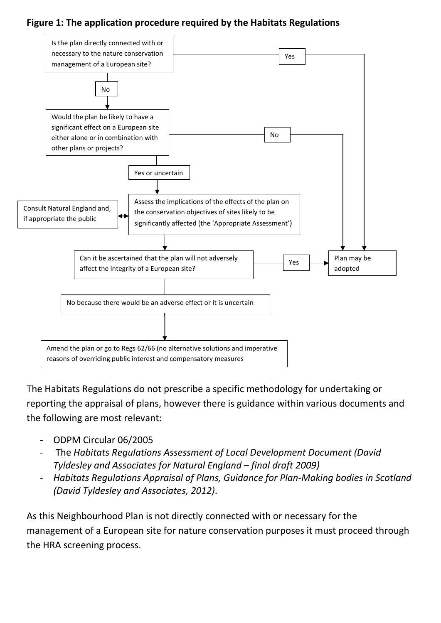# **Figure 1: The application procedure required by the Habitats Regulations**



The Habitats Regulations do not prescribe a specific methodology for undertaking or reporting the appraisal of plans, however there is guidance within various documents and the following are most relevant:

- ODPM Circular 06/2005
- The *Habitats Regulations Assessment of Local Development Document (David Tyldesley and Associates for Natural England – final draft 2009)*
- *Habitats Regulations Appraisal of Plans, Guidance for Plan-Making bodies in Scotland (David Tyldesley and Associates, 2012)*.

As this Neighbourhood Plan is not directly connected with or necessary for the management of a European site for nature conservation purposes it must proceed through the HRA screening process.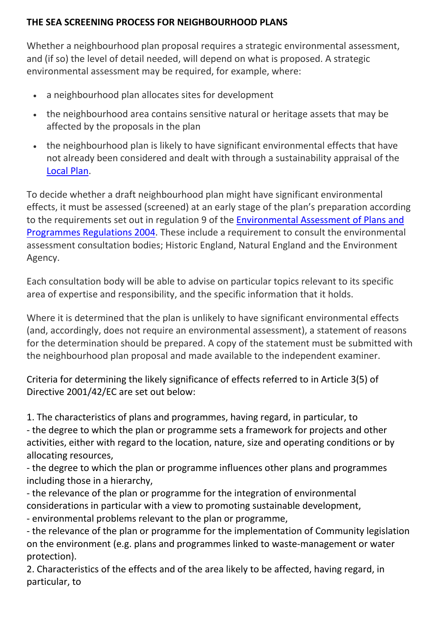# **THE SEA SCREENING PROCESS FOR NEIGHBOURHOOD PLANS**

Whether a neighbourhood plan proposal requires a strategic environmental assessment, and (if so) the level of detail needed, will depend on what is proposed. A strategic environmental assessment may be required, for example, where:

- a neighbourhood plan allocates sites for development
- the neighbourhood area contains sensitive natural or heritage assets that may be affected by the proposals in the plan
- the neighbourhood plan is likely to have significant environmental effects that have not already been considered and dealt with through a sustainability appraisal of the [Local Plan.](http://planningguidance.planningportal.gov.uk/blog/guidance/local-plans/)

To decide whether a draft neighbourhood plan might have significant environmental effects, it must be assessed (screened) at an early stage of the plan's preparation according to the requirements set out in regulation 9 of the [Environmental Assessment of Plans and](http://www.legislation.gov.uk/uksi/2004/1633/introduction/made)  [Programmes Regulations 2004.](http://www.legislation.gov.uk/uksi/2004/1633/introduction/made) These include a requirement to consult the environmental assessment consultation bodies; Historic England, Natural England and the Environment Agency.

Each consultation body will be able to advise on particular topics relevant to its specific area of expertise and responsibility, and the specific information that it holds.

Where it is determined that the plan is unlikely to have significant environmental effects (and, accordingly, does not require an environmental assessment), a statement of reasons for the determination should be prepared. A copy of the statement must be submitted with the neighbourhood plan proposal and made available to the independent examiner.

Criteria for determining the likely significance of effects referred to in Article 3(5) of Directive 2001/42/EC are set out below:

1. The characteristics of plans and programmes, having regard, in particular, to - the degree to which the plan or programme sets a framework for projects and other activities, either with regard to the location, nature, size and operating conditions or by allocating resources,

- the degree to which the plan or programme influences other plans and programmes including those in a hierarchy,

- the relevance of the plan or programme for the integration of environmental considerations in particular with a view to promoting sustainable development, - environmental problems relevant to the plan or programme,

- the relevance of the plan or programme for the implementation of Community legislation on the environment (e.g. plans and programmes linked to waste-management or water protection).

2. Characteristics of the effects and of the area likely to be affected, having regard, in particular, to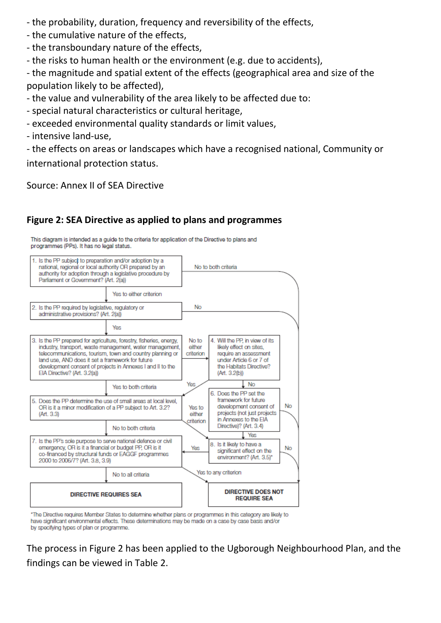- the probability, duration, frequency and reversibility of the effects,
- the cumulative nature of the effects,
- the transboundary nature of the effects,
- the risks to human health or the environment (e.g. due to accidents),

- the magnitude and spatial extent of the effects (geographical area and size of the population likely to be affected),

- the value and vulnerability of the area likely to be affected due to:
- special natural characteristics or cultural heritage,
- exceeded environmental quality standards or limit values,
- intensive land-use,
- the effects on areas or landscapes which have a recognised national, Community or international protection status.

Source: Annex II of SEA Directive

# **Figure 2: SEA Directive as applied to plans and programmes**

This diagram is intended as a guide to the criteria for application of the Directive to plans and programmes (PPs). It has no legal status.



\*The Directive requires Member States to determine whether plans or programmes in this category are likely to have significant environmental effects. These determinations may be made on a case by case basis and/or by specifying types of plan or programme.

The process in Figure 2 has been applied to the Ugborough Neighbourhood Plan, and the findings can be viewed in Table 2.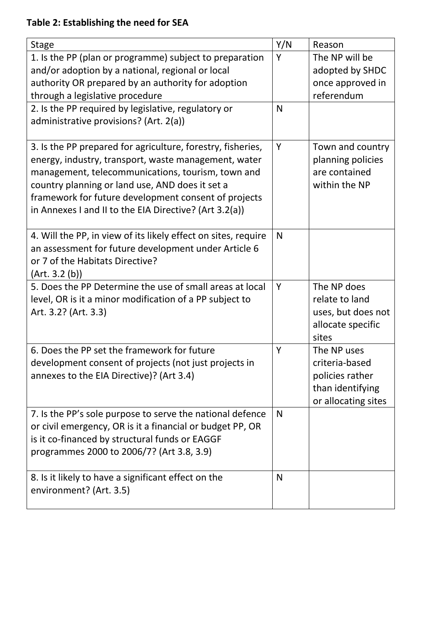# **Table 2: Establishing the need for SEA**

| <b>Stage</b>                                                   | Y/N          | Reason                              |
|----------------------------------------------------------------|--------------|-------------------------------------|
| 1. Is the PP (plan or programme) subject to preparation        | Y            | The NP will be                      |
| and/or adoption by a national, regional or local               |              | adopted by SHDC                     |
| authority OR prepared by an authority for adoption             |              | once approved in                    |
| through a legislative procedure                                |              | referendum                          |
| 2. Is the PP required by legislative, regulatory or            | $\mathsf{N}$ |                                     |
| administrative provisions? (Art. 2(a))                         |              |                                     |
|                                                                |              |                                     |
| 3. Is the PP prepared for agriculture, forestry, fisheries,    | Y            | Town and country                    |
| energy, industry, transport, waste management, water           |              | planning policies                   |
| management, telecommunications, tourism, town and              |              | are contained                       |
| country planning or land use, AND does it set a                |              | within the NP                       |
| framework for future development consent of projects           |              |                                     |
| in Annexes I and II to the EIA Directive? (Art 3.2(a))         |              |                                     |
|                                                                |              |                                     |
| 4. Will the PP, in view of its likely effect on sites, require | N            |                                     |
| an assessment for future development under Article 6           |              |                                     |
| or 7 of the Habitats Directive?                                |              |                                     |
| (Art. 3.2(b))                                                  |              |                                     |
| 5. Does the PP Determine the use of small areas at local       | Y            | The NP does                         |
| level, OR is it a minor modification of a PP subject to        |              | relate to land                      |
| Art. 3.2? (Art. 3.3)                                           |              | uses, but does not                  |
|                                                                |              | allocate specific                   |
| 6. Does the PP set the framework for future                    | Y            | sites<br>The NP uses                |
|                                                                |              | criteria-based                      |
| development consent of projects (not just projects in          |              |                                     |
| annexes to the EIA Directive)? (Art 3.4)                       |              | policies rather<br>than identifying |
|                                                                |              | or allocating sites                 |
| 7. Is the PP's sole purpose to serve the national defence      | $\mathsf{N}$ |                                     |
| or civil emergency, OR is it a financial or budget PP, OR      |              |                                     |
| is it co-financed by structural funds or EAGGF                 |              |                                     |
| programmes 2000 to 2006/7? (Art 3.8, 3.9)                      |              |                                     |
|                                                                |              |                                     |
| 8. Is it likely to have a significant effect on the            | N            |                                     |
| environment? (Art. 3.5)                                        |              |                                     |
|                                                                |              |                                     |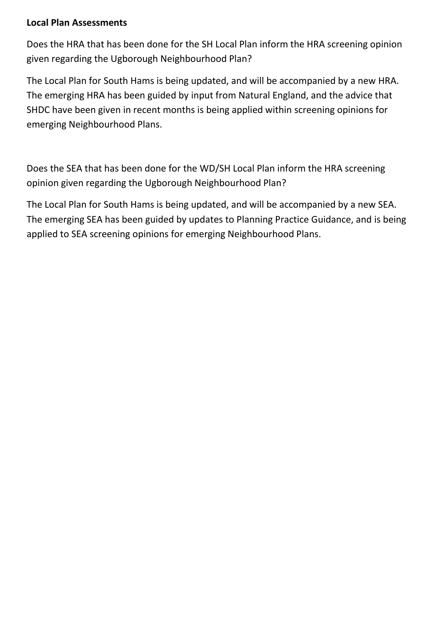#### **Local Plan Assessments**

Does the HRA that has been done for the SH Local Plan inform the HRA screening opinion given regarding the Ugborough Neighbourhood Plan?

The Local Plan for South Hams is being updated, and will be accompanied by a new HRA. The emerging HRA has been guided by input from Natural England, and the advice that SHDC have been given in recent months is being applied within screening opinions for emerging Neighbourhood Plans.

Does the SEA that has been done for the WD/SH Local Plan inform the HRA screening opinion given regarding the Ugborough Neighbourhood Plan?

The Local Plan for South Hams is being updated, and will be accompanied by a new SEA. The emerging SEA has been guided by updates to Planning Practice Guidance, and is being applied to SEA screening opinions for emerging Neighbourhood Plans.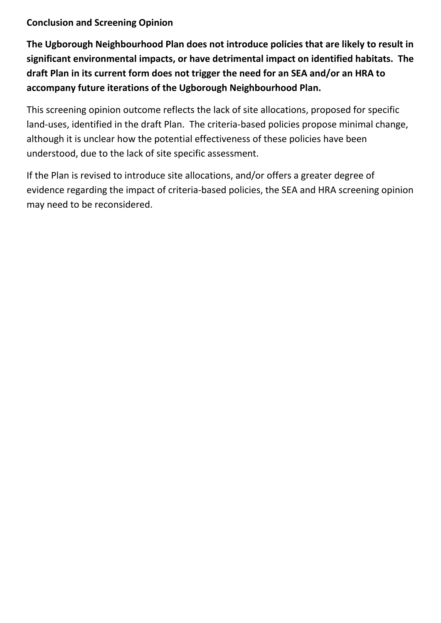# **Conclusion and Screening Opinion**

**The Ugborough Neighbourhood Plan does not introduce policies that are likely to result in significant environmental impacts, or have detrimental impact on identified habitats. The draft Plan in its current form does not trigger the need for an SEA and/or an HRA to accompany future iterations of the Ugborough Neighbourhood Plan.**

This screening opinion outcome reflects the lack of site allocations, proposed for specific land-uses, identified in the draft Plan. The criteria-based policies propose minimal change, although it is unclear how the potential effectiveness of these policies have been understood, due to the lack of site specific assessment.

If the Plan is revised to introduce site allocations, and/or offers a greater degree of evidence regarding the impact of criteria-based policies, the SEA and HRA screening opinion may need to be reconsidered.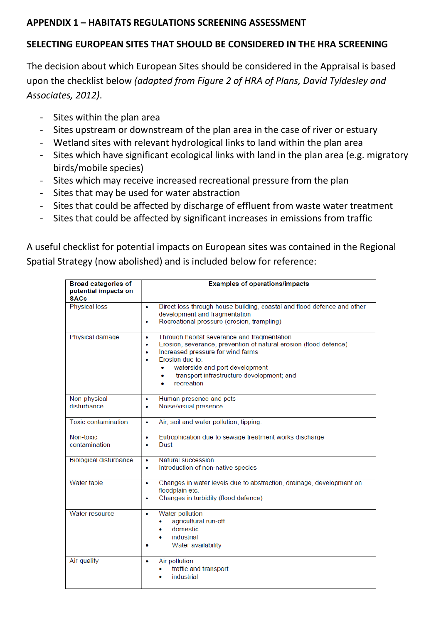# **APPENDIX 1 – HABITATS REGULATIONS SCREENING ASSESSMENT**

# **SELECTING EUROPEAN SITES THAT SHOULD BE CONSIDERED IN THE HRA SCREENING**

The decision about which European Sites should be considered in the Appraisal is based upon the checklist below *(adapted from Figure 2 of HRA of Plans, David Tyldesley and Associates, 2012)*.

- Sites within the plan area
- Sites upstream or downstream of the plan area in the case of river or estuary
- Wetland sites with relevant hydrological links to land within the plan area
- Sites which have significant ecological links with land in the plan area (e.g. migratory birds/mobile species)
- Sites which may receive increased recreational pressure from the plan
- Sites that may be used for water abstraction
- Sites that could be affected by discharge of effluent from waste water treatment
- Sites that could be affected by significant increases in emissions from traffic

A useful checklist for potential impacts on European sites was contained in the Regional Spatial Strategy (now abolished) and is included below for reference:

| <b>Broad categories of</b><br>potential impacts on<br><b>SACs</b> | <b>Examples of operations/impacts</b>                                                                                                                                                                                                                                                                    |
|-------------------------------------------------------------------|----------------------------------------------------------------------------------------------------------------------------------------------------------------------------------------------------------------------------------------------------------------------------------------------------------|
| <b>Physical loss</b>                                              | Direct loss through house building, coastal and flood defence and other<br>$\bullet$<br>development and fragmentation<br>Recreational pressure (erosion, trampling)<br>٠                                                                                                                                 |
| Physical damage                                                   | Through habitat severance and fragmentation<br>٠<br>Erosion, severance, prevention of natural erosion (flood defence)<br>۰<br>Increased pressure for wind farms<br>۰<br>Erosion due to:<br>۰<br>waterside and port development<br>۰<br>transport infrastructure development; and<br>۰<br>recreation<br>۰ |
| Non-physical<br>disturbance                                       | Human presence and pets<br>۰<br>Noise/visual presence<br>۰                                                                                                                                                                                                                                               |
| <b>Toxic contamination</b>                                        | Air, soil and water pollution, tipping.<br>۰                                                                                                                                                                                                                                                             |
| Non-toxic<br>contamination                                        | Eutrophication due to sewage treatment works discharge<br>۰<br>Dust<br>۰                                                                                                                                                                                                                                 |
| <b>Biological disturbance</b>                                     | Natural succession<br>۰<br>Introduction of non-native species<br>۰                                                                                                                                                                                                                                       |
| Water table                                                       | Changes in water levels due to abstraction, drainage, development on<br>٠<br>floodplain etc.<br>Changes in turbidity (flood defence)<br>٠                                                                                                                                                                |
| Water resource                                                    | Water pollution<br>۰<br>agricultural run-off<br>۰<br>domestic<br>۰<br>industrial<br>Water availability                                                                                                                                                                                                   |
| Air quality                                                       | Air pollution<br>۰<br>traffic and transport<br>industrial                                                                                                                                                                                                                                                |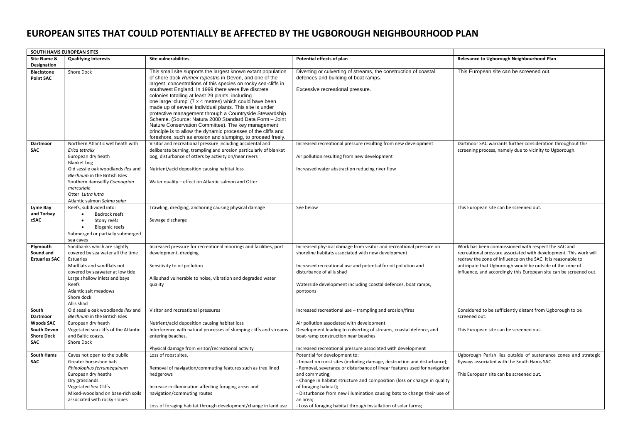#### **EUROPEAN SITES THAT COULD POTENTIALLY BE AFFECTED BY THE UGBOROUGH NEIGHBOURHOOD PLAN**

| SOUTH HAMS EUROPEAN SITES                                                        |                                                                                                                                                                                                                                                                          |                                                                                                                                                                                                                                                                                                                                                                                                                                                                                                                                                                                                                                                                                                                                      |                                                                                                                                                                                                                                                                                                                                                                               |                                                                                                                                                                                                                                                                                                                             |
|----------------------------------------------------------------------------------|--------------------------------------------------------------------------------------------------------------------------------------------------------------------------------------------------------------------------------------------------------------------------|--------------------------------------------------------------------------------------------------------------------------------------------------------------------------------------------------------------------------------------------------------------------------------------------------------------------------------------------------------------------------------------------------------------------------------------------------------------------------------------------------------------------------------------------------------------------------------------------------------------------------------------------------------------------------------------------------------------------------------------|-------------------------------------------------------------------------------------------------------------------------------------------------------------------------------------------------------------------------------------------------------------------------------------------------------------------------------------------------------------------------------|-----------------------------------------------------------------------------------------------------------------------------------------------------------------------------------------------------------------------------------------------------------------------------------------------------------------------------|
| Site Name &<br>Designation                                                       | <b>Qualifying Interests</b>                                                                                                                                                                                                                                              | Site vulnerabilities                                                                                                                                                                                                                                                                                                                                                                                                                                                                                                                                                                                                                                                                                                                 | Potential effects of plan                                                                                                                                                                                                                                                                                                                                                     | Relevance to Ugborough Neighbourhood Plan                                                                                                                                                                                                                                                                                   |
| <b>Blackstone</b><br><b>Point SAC</b>                                            | Shore Dock                                                                                                                                                                                                                                                               | This small site supports the largest known extant population<br>of shore dock Rumex rupestris in Devon, and one of the<br>largest concentrations of this species on rocky sea-cliffs in<br>southwest England. In 1999 there were five discrete<br>colonies totalling at least 29 plants, including<br>one large 'clump' (7 x 4 metres) which could have been<br>made up of several individual plants. This site is under<br>protective management through a Countryside Stewardship<br>Scheme. (Source: Natura 2000 Standard Data Form - Joint<br>Nature Conservation Committee). The key management<br>principle is to allow the dynamic processes of the cliffs and<br>foreshore, such as erosion and slumping, to proceed freely. | Diverting or culverting of streams, the construction of coastal<br>defences and building of boat ramps.<br>Excessive recreational pressure.                                                                                                                                                                                                                                   | This European site can be screened out.                                                                                                                                                                                                                                                                                     |
| Dartmoor<br><b>SAC</b>                                                           | Northern Atlantic wet heath with<br>Erica tetralix<br>European dry heath<br><b>Blanket</b> bog<br>Old sessile oak woodlands Ilex and<br>Blechnum in the British Isles<br>Southern damselfly Coenagrion<br>mercuriale<br>Otter Lutra lutra<br>Atlantic salmon Salmo salar | Visitor and recreational pressure including accidental and<br>deliberate burning, trampling and erosion particularly of blanket<br>bog, disturbance of otters by activity on/near rivers<br>Nutrient/acid deposition causing habitat loss<br>Water quality - effect on Atlantic salmon and Otter                                                                                                                                                                                                                                                                                                                                                                                                                                     | Increased recreational pressure resulting from new development<br>Air pollution resulting from new development<br>Increased water abstraction reducing river flow                                                                                                                                                                                                             | Dartmoor SAC warrants further consideration throughout this<br>screening process, namely due to vicinity to Ugborough.                                                                                                                                                                                                      |
| Lyme Bay<br>and Torbay<br><b>cSAC</b>                                            | Reefs, subdivided into:<br>Bedrock reefs<br>$\bullet$<br>Stony reefs<br>$\bullet$<br>$\bullet$<br><b>Biogenic reefs</b><br>Submerged or partially submerged<br>sea caves                                                                                                 | Trawling, dredging, anchoring causing physical damage<br>Sewage discharge                                                                                                                                                                                                                                                                                                                                                                                                                                                                                                                                                                                                                                                            | See below                                                                                                                                                                                                                                                                                                                                                                     | This European site can be screened out.                                                                                                                                                                                                                                                                                     |
| Plymouth<br>Sound and<br><b>Estuaries SAC</b>                                    | Sandbanks which are slightly<br>covered by sea water all the time<br>Estuaries<br>Mudflats and sandflats not<br>covered by seawater at low tide<br>Large shallow inlets and bays<br>Reefs<br>Atlantic salt meadows<br>Shore dock<br>Allis shad                           | Increased pressure for recreational moorings and facilities, port<br>development, dredging<br>Sensitivity to oil pollution<br>Allis shad vulnerable to noise, vibration and degraded water<br>quality                                                                                                                                                                                                                                                                                                                                                                                                                                                                                                                                | Increased physical damage from visitor and recreational pressure on<br>shoreline habitats associated with new development<br>Increased recreational use and potential for oil pollution and<br>disturbance of allis shad<br>Waterside development including coastal defences, boat ramps,<br>pontoons                                                                         | Work has been commissioned with respect the SAC and<br>recreational pressure associated with development. This work will<br>redraw the zone of influence on the SAC. It is reasonable to<br>anticipate that Ugborough would be outside of the zone of<br>influence, and accordingly this European site can be screened out. |
| South<br>Dartmoor<br><b>Woods SAC</b><br><b>South Devon</b><br><b>Shore Dock</b> | Old sessile oak woodlands Ilex and<br>Blechnum in the British Isles<br>European dry heath<br>Vegetated sea cliffs of the Atlantic<br>and Baltic coasts.                                                                                                                  | Visitor and recreational pressures<br>Nutrient/acid deposition causing habitat loss<br>Interference with natural processes of slumping cliffs and streams<br>entering beaches.                                                                                                                                                                                                                                                                                                                                                                                                                                                                                                                                                       | Increased recreational use - trampling and erosion/fires<br>Air pollution associated with development<br>Development leading to culverting of streams, coastal defence, and<br>boat-ramp construction near beaches                                                                                                                                                            | Considered to be sufficiently distant from Ugborough to be<br>screened out.<br>This European site can be screened out.                                                                                                                                                                                                      |
| SAC<br>South Hams<br><b>SAC</b>                                                  | Shore Dock<br>Caves not open to the public<br>Greater horseshoe bats<br>Rhinolophus ferrumequinum<br>European dry heaths<br>Dry grasslands<br>Vegetated Sea Cliffs                                                                                                       | Physical damage from visitor/recreational activity<br>Loss of roost sites.<br>Removal of navigation/commuting features such as tree lined<br>hedgerows<br>Increase in illumination affecting foraging areas and                                                                                                                                                                                                                                                                                                                                                                                                                                                                                                                      | Increased recreational pressure associated with development<br>Potential for development to:<br>- Impact on roost sites (including damage, destruction and disturbance);<br>- Removal, severance or disturbance of linear features used for navigation<br>and commuting;<br>- Change in habitat structure and composition (loss or change in quality<br>of foraging habitat); | Ugborough Parish lies outside of sustenance zones and strategic<br>flyways associated with the South Hams SAC.<br>This European site can be screened out.                                                                                                                                                                   |
|                                                                                  | Mixed-woodland on base-rich soils<br>associated with rocky slopes                                                                                                                                                                                                        | navigation/commuting routes<br>Loss of foraging habitat through development/change in land use                                                                                                                                                                                                                                                                                                                                                                                                                                                                                                                                                                                                                                       | - Disturbance from new illumination causing bats to change their use of<br>an area;<br>- Loss of foraging habitat through installation of solar farms;                                                                                                                                                                                                                        |                                                                                                                                                                                                                                                                                                                             |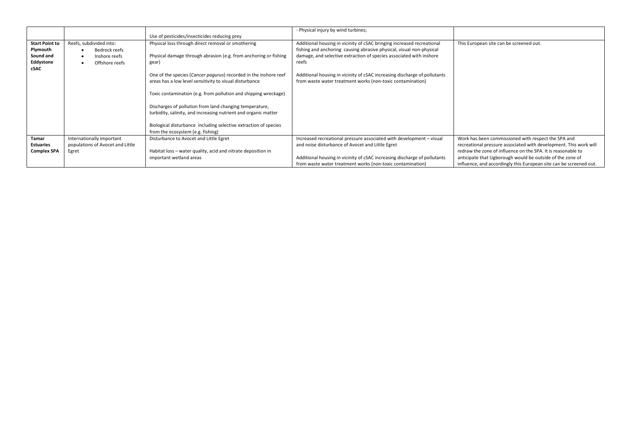|                       |                                  |                                                                  | - Physical injury by wind turbines;                                       |                                                                    |
|-----------------------|----------------------------------|------------------------------------------------------------------|---------------------------------------------------------------------------|--------------------------------------------------------------------|
|                       |                                  | Use of pesticides/insecticides reducing prey                     |                                                                           |                                                                    |
| <b>Start Point to</b> | Reefs, subdivided into:          | Physical loss through direct removal or smothering               | Additional housing in vicinity of cSAC bringing increased recreational    | This European site can be screened out.                            |
| Plymouth              | Bedrock reefs                    |                                                                  | fishing and anchoring causing abrasive physical, visual non-physical      |                                                                    |
| Sound and             | Inshore reefs                    | Physical damage through abrasion (e.g. from anchoring or fishing | damage, and selective extraction of species associated with inshore       |                                                                    |
| Eddystone             | Offshore reefs                   | gear)                                                            | reefs                                                                     |                                                                    |
| <b>cSAC</b>           |                                  |                                                                  |                                                                           |                                                                    |
|                       |                                  | One of the species (Cancer pagurus) recorded in the inshore reef | Additional housing in vicinity of cSAC increasing discharge of pollutants |                                                                    |
|                       |                                  | areas has a low level sensitivity to visual disturbance          | from waste water treatment works (non-toxic contamination)                |                                                                    |
|                       |                                  |                                                                  |                                                                           |                                                                    |
|                       |                                  | Toxic contamination (e.g. from pollution and shipping wreckage)  |                                                                           |                                                                    |
|                       |                                  |                                                                  |                                                                           |                                                                    |
|                       |                                  | Discharges of pollution from land changing temperature,          |                                                                           |                                                                    |
|                       |                                  | turbidity, salinity, and increasing nutrient and organic matter  |                                                                           |                                                                    |
|                       |                                  |                                                                  |                                                                           |                                                                    |
|                       |                                  | Biological disturbance including selective extraction of species |                                                                           |                                                                    |
|                       |                                  | from the ecosystem (e.g. fishing)                                |                                                                           |                                                                    |
| Tamar                 | Internationally important        | Disturbance to Avocet and Little Egret                           | Increased recreational pressure associated with development - visual      | Work has been commissioned with respect the SPA and                |
| <b>Estuaries</b>      | populations of Avocet and Little |                                                                  | and noise disturbance of Avocet and Little Egret                          | recreational pressure associated with development. This work will  |
| <b>Complex SPA</b>    | Egret                            | Habitat loss – water quality, acid and nitrate deposition in     |                                                                           | redraw the zone of influence on the SPA. It is reasonable to       |
|                       |                                  | important wetland areas                                          | Additional housing in vicinity of cSAC increasing discharge of pollutants | anticipate that Ugborough would be outside of the zone of          |
|                       |                                  |                                                                  | from waste water treatment works (non-toxic contamination)                | influence, and accordingly this European site can be screened out. |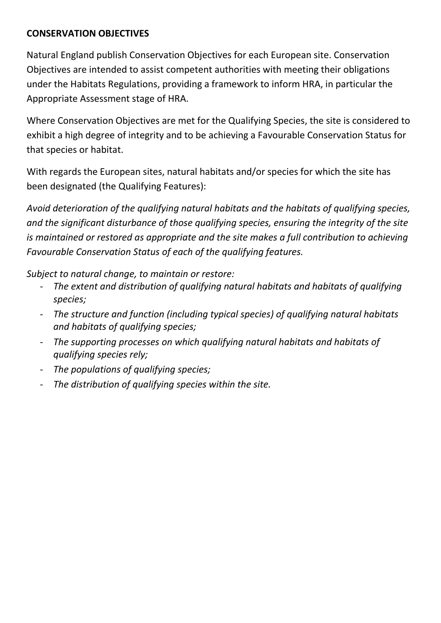### **CONSERVATION OBJECTIVES**

Natural England publish Conservation Objectives for each European site. Conservation Objectives are intended to assist competent authorities with meeting their obligations under the Habitats Regulations, providing a framework to inform HRA, in particular the Appropriate Assessment stage of HRA.

Where Conservation Objectives are met for the Qualifying Species, the site is considered to exhibit a high degree of integrity and to be achieving a Favourable Conservation Status for that species or habitat.

With regards the European sites, natural habitats and/or species for which the site has been designated (the Qualifying Features):

*Avoid deterioration of the qualifying natural habitats and the habitats of qualifying species, and the significant disturbance of those qualifying species, ensuring the integrity of the site is maintained or restored as appropriate and the site makes a full contribution to achieving Favourable Conservation Status of each of the qualifying features.* 

*Subject to natural change, to maintain or restore:* 

- *The extent and distribution of qualifying natural habitats and habitats of qualifying species;*
- *The structure and function (including typical species) of qualifying natural habitats and habitats of qualifying species;*
- *The supporting processes on which qualifying natural habitats and habitats of qualifying species rely;*
- *The populations of qualifying species;*
- *The distribution of qualifying species within the site.*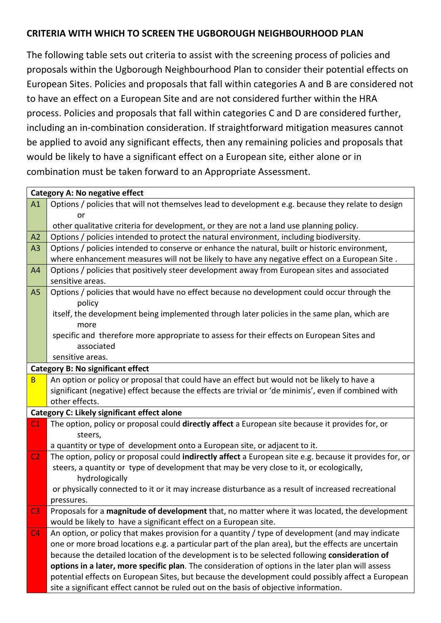### **CRITERIA WITH WHICH TO SCREEN THE UGBOROUGH NEIGHBOURHOOD PLAN**

The following table sets out criteria to assist with the screening process of policies and proposals within the Ugborough Neighbourhood Plan to consider their potential effects on European Sites. Policies and proposals that fall within categories A and B are considered not to have an effect on a European Site and are not considered further within the HRA process. Policies and proposals that fall within categories C and D are considered further, including an in-combination consideration. If straightforward mitigation measures cannot be applied to avoid any significant effects, then any remaining policies and proposals that would be likely to have a significant effect on a European site, either alone or in combination must be taken forward to an Appropriate Assessment.

|                | <b>Category A: No negative effect</b>                                                                   |
|----------------|---------------------------------------------------------------------------------------------------------|
| A1             | Options / policies that will not themselves lead to development e.g. because they relate to design      |
|                | or                                                                                                      |
|                | other qualitative criteria for development, or they are not a land use planning policy.                 |
| A2             | Options / policies intended to protect the natural environment, including biodiversity.                 |
| A3             | Options / policies intended to conserve or enhance the natural, built or historic environment,          |
|                | where enhancement measures will not be likely to have any negative effect on a European Site.           |
| A <sub>4</sub> | Options / policies that positively steer development away from European sites and associated            |
|                | sensitive areas.                                                                                        |
| A <sub>5</sub> | Options / policies that would have no effect because no development could occur through the             |
|                | policy                                                                                                  |
|                | itself, the development being implemented through later policies in the same plan, which are            |
|                | more                                                                                                    |
|                | specific and therefore more appropriate to assess for their effects on European Sites and               |
|                | associated                                                                                              |
|                | sensitive areas.                                                                                        |
|                | <b>Category B: No significant effect</b>                                                                |
| B              | An option or policy or proposal that could have an effect but would not be likely to have a             |
|                | significant (negative) effect because the effects are trivial or 'de minimis', even if combined with    |
|                | other effects.                                                                                          |
|                | <b>Category C: Likely significant effect alone</b>                                                      |
| C1             | The option, policy or proposal could directly affect a European site because it provides for, or        |
|                | steers,                                                                                                 |
|                | a quantity or type of development onto a European site, or adjacent to it.                              |
| C2             | The option, policy or proposal could indirectly affect a European site e.g. because it provides for, or |
|                | steers, a quantity or type of development that may be very close to it, or ecologically,                |
|                | hydrologically                                                                                          |
|                | or physically connected to it or it may increase disturbance as a result of increased recreational      |
|                | pressures.                                                                                              |
| C <sub>3</sub> | Proposals for a magnitude of development that, no matter where it was located, the development          |
|                | would be likely to have a significant effect on a European site.                                        |
| C <sub>4</sub> | An option, or policy that makes provision for a quantity / type of development (and may indicate        |
|                | one or more broad locations e.g. a particular part of the plan area), but the effects are uncertain     |
|                | because the detailed location of the development is to be selected following consideration of           |
|                | options in a later, more specific plan. The consideration of options in the later plan will assess      |
|                | potential effects on European Sites, but because the development could possibly affect a European       |
|                | site a significant effect cannot be ruled out on the basis of objective information.                    |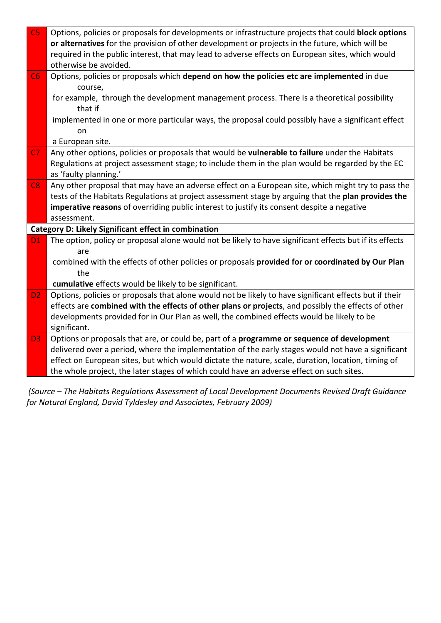| C <sub>5</sub> | Options, policies or proposals for developments or infrastructure projects that could block options                                                                                            |
|----------------|------------------------------------------------------------------------------------------------------------------------------------------------------------------------------------------------|
|                | or alternatives for the provision of other development or projects in the future, which will be                                                                                                |
|                | required in the public interest, that may lead to adverse effects on European sites, which would                                                                                               |
|                | otherwise be avoided.                                                                                                                                                                          |
| C6             | Options, policies or proposals which depend on how the policies etc are implemented in due                                                                                                     |
|                | course,                                                                                                                                                                                        |
|                | for example, through the development management process. There is a theoretical possibility                                                                                                    |
|                | that if                                                                                                                                                                                        |
|                | implemented in one or more particular ways, the proposal could possibly have a significant effect                                                                                              |
|                | on                                                                                                                                                                                             |
|                | a European site.                                                                                                                                                                               |
| C7             | Any other options, policies or proposals that would be vulnerable to failure under the Habitats                                                                                                |
|                | Regulations at project assessment stage; to include them in the plan would be regarded by the EC                                                                                               |
|                | as 'faulty planning.'                                                                                                                                                                          |
| C8             | Any other proposal that may have an adverse effect on a European site, which might try to pass the                                                                                             |
|                | tests of the Habitats Regulations at project assessment stage by arguing that the plan provides the                                                                                            |
|                |                                                                                                                                                                                                |
|                | imperative reasons of overriding public interest to justify its consent despite a negative                                                                                                     |
|                | assessment.                                                                                                                                                                                    |
|                | <b>Category D: Likely Significant effect in combination</b>                                                                                                                                    |
| D1             | The option, policy or proposal alone would not be likely to have significant effects but if its effects                                                                                        |
|                | are                                                                                                                                                                                            |
|                | combined with the effects of other policies or proposals provided for or coordinated by Our Plan                                                                                               |
|                | the                                                                                                                                                                                            |
|                | cumulative effects would be likely to be significant.                                                                                                                                          |
| D <sub>2</sub> | Options, policies or proposals that alone would not be likely to have significant effects but if their                                                                                         |
|                | effects are combined with the effects of other plans or projects, and possibly the effects of other                                                                                            |
|                | developments provided for in Our Plan as well, the combined effects would be likely to be                                                                                                      |
|                | significant.                                                                                                                                                                                   |
| D <sub>3</sub> | Options or proposals that are, or could be, part of a programme or sequence of development                                                                                                     |
|                | delivered over a period, where the implementation of the early stages would not have a significant                                                                                             |
|                | effect on European sites, but which would dictate the nature, scale, duration, location, timing of<br>the whole project, the later stages of which could have an adverse effect on such sites. |

*(Source – The Habitats Regulations Assessment of Local Development Documents Revised Draft Guidance for Natural England, David Tyldesley and Associates, February 2009)*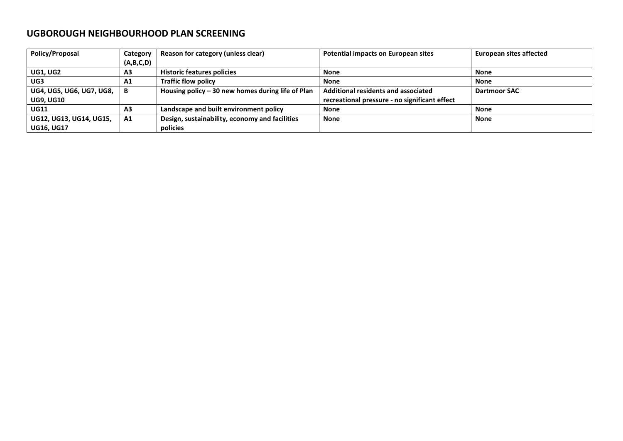#### **UGBOROUGH NEIGHBOURHOOD PLAN SCREENING**

| Policy/Proposal          | Category  | Reason for category (unless clear)                 | <b>Potential impacts on European sites</b>    | <b>European sites affected</b> |
|--------------------------|-----------|----------------------------------------------------|-----------------------------------------------|--------------------------------|
|                          | (A,B,C,D) |                                                    |                                               |                                |
| <b>UG1, UG2</b>          | A3        | <b>Historic features policies</b>                  | <b>None</b>                                   | None                           |
| UG3                      | A1        | <b>Traffic flow policy</b>                         | <b>None</b>                                   | <b>None</b>                    |
| UG4, UG5, UG6, UG7, UG8, | B         | Housing policy $-30$ new homes during life of Plan | <b>Additional residents and associated</b>    | <b>Dartmoor SAC</b>            |
| <b>UG9, UG10</b>         |           |                                                    | recreational pressure - no significant effect |                                |
| <b>UG11</b>              | A3        | Landscape and built environment policy             | <b>None</b>                                   | <b>None</b>                    |
| UG12, UG13, UG14, UG15,  | A1        | Design, sustainability, economy and facilities     | <b>None</b>                                   | <b>None</b>                    |
| <b>UG16, UG17</b>        |           | policies                                           |                                               |                                |